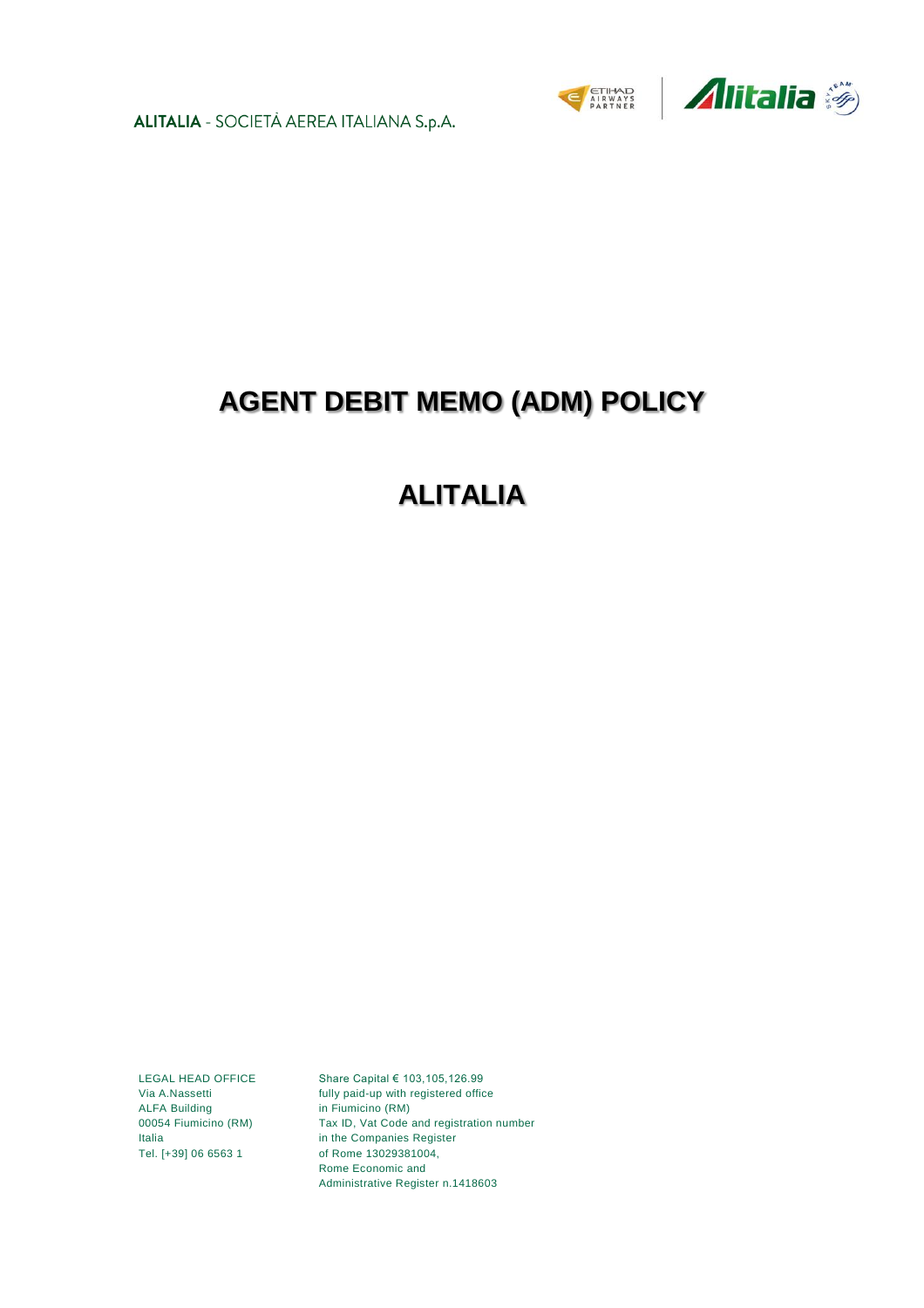ALITALIA - SOCIETÀ AEREA ITALIANA S.p.A.





# **AGENT DEBIT MEMO (ADM) POLICY**

# **ALITALIA**

LEGAL HEAD OFFICE Via A.Nassetti ALFA Building 00054 Fiumicino (RM) Italia Tel. [+39] 06 6563 1

Share Capital € 103,105,126.99 fully paid-up with registered office in Fiumicino (RM) Tax ID, Vat Code and registration number in the Companies Register of Rome 13029381004, Rome Economic and Administrative Register n.1418603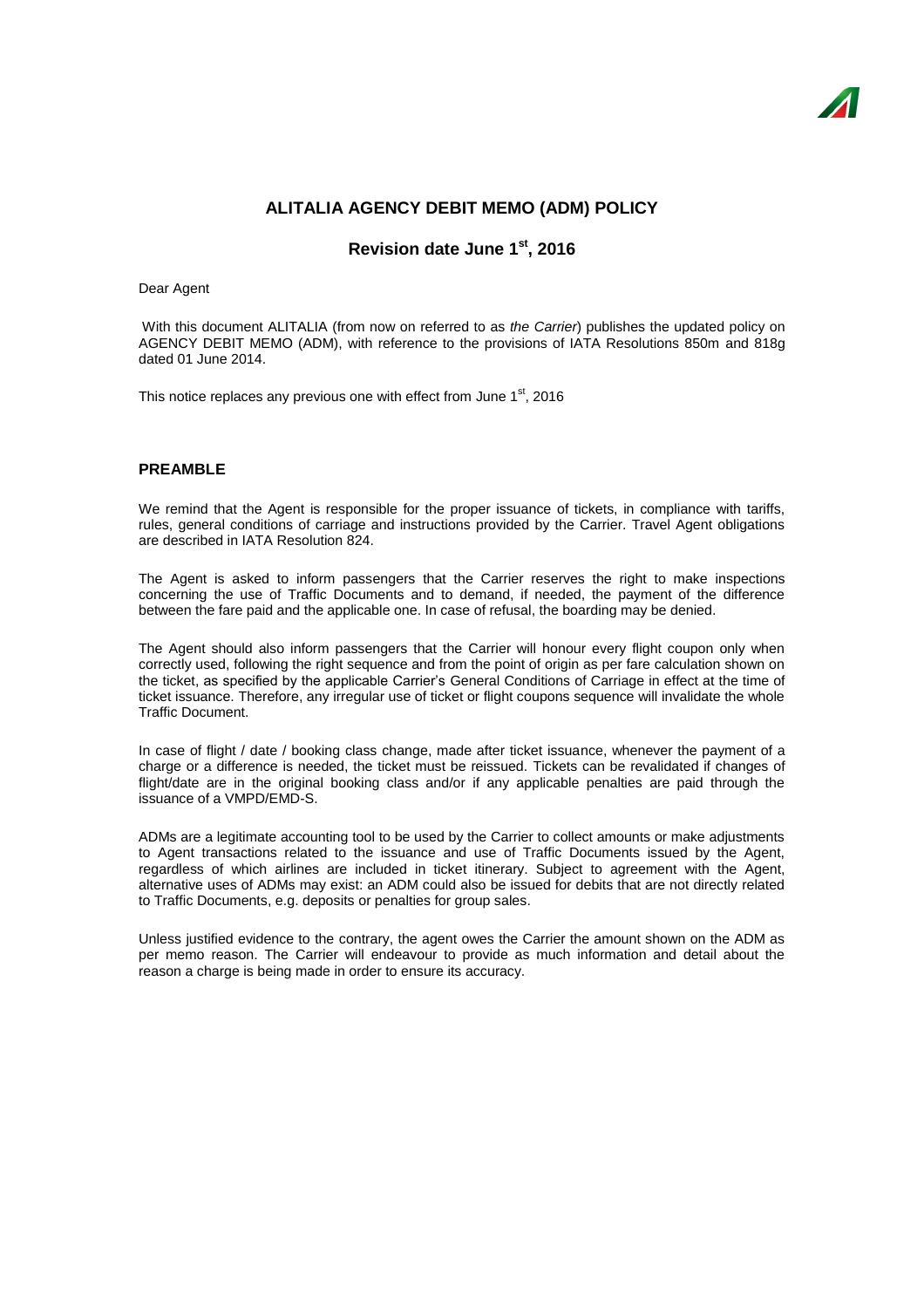# **ALITALIA AGENCY DEBIT MEMO (ADM) POLICY**

# **Revision date June 1 st , 2016**

### Dear Agent

With this document ALITALIA (from now on referred to as *the Carrier*) publishes the updated policy on AGENCY DEBIT MEMO (ADM), with reference to the provisions of IATA Resolutions 850m and 818g dated 01 June 2014.

This notice replaces any previous one with effect from June 1<sup>st</sup>, 2016

# **PREAMBLE**

We remind that the Agent is responsible for the proper issuance of tickets, in compliance with tariffs, rules, general conditions of carriage and instructions provided by the Carrier. Travel Agent obligations are described in IATA Resolution 824.

The Agent is asked to inform passengers that the Carrier reserves the right to make inspections concerning the use of Traffic Documents and to demand, if needed, the payment of the difference between the fare paid and the applicable one. In case of refusal, the boarding may be denied.

The Agent should also inform passengers that the Carrier will honour every flight coupon only when correctly used, following the right sequence and from the point of origin as per fare calculation shown on the ticket, as specified by the applicable Carrier's General Conditions of Carriage in effect at the time of ticket issuance. Therefore, any irregular use of ticket or flight coupons sequence will invalidate the whole Traffic Document.

In case of flight / date / booking class change, made after ticket issuance, whenever the payment of a charge or a difference is needed, the ticket must be reissued. Tickets can be revalidated if changes of flight/date are in the original booking class and/or if any applicable penalties are paid through the issuance of a VMPD/EMD-S.

ADMs are a legitimate accounting tool to be used by the Carrier to collect amounts or make adjustments to Agent transactions related to the issuance and use of Traffic Documents issued by the Agent, regardless of which airlines are included in ticket itinerary. Subject to agreement with the Agent, alternative uses of ADMs may exist: an ADM could also be issued for debits that are not directly related to Traffic Documents, e.g. deposits or penalties for group sales.

Unless justified evidence to the contrary, the agent owes the Carrier the amount shown on the ADM as per memo reason. The Carrier will endeavour to provide as much information and detail about the reason a charge is being made in order to ensure its accuracy.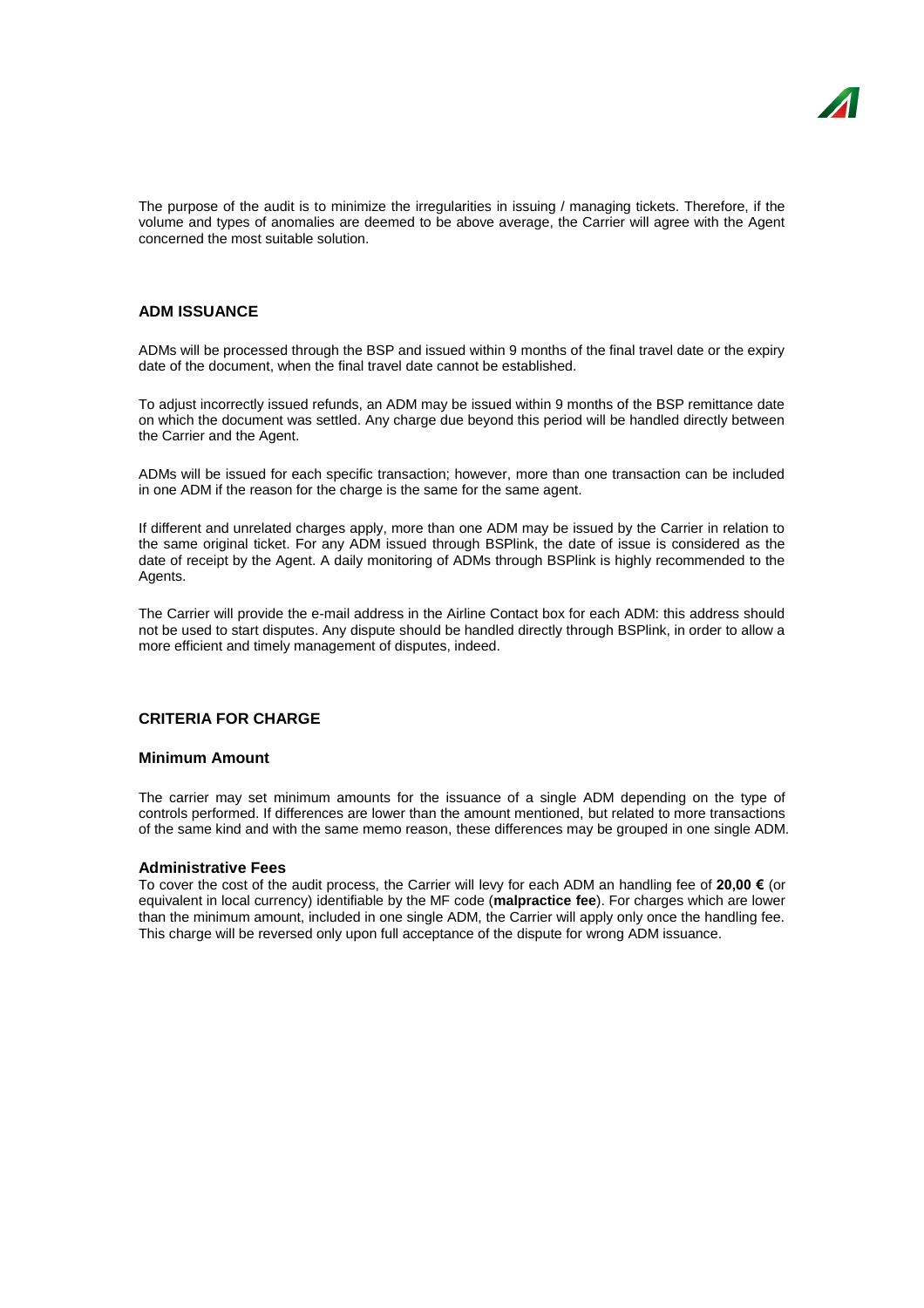The purpose of the audit is to minimize the irregularities in issuing / managing tickets. Therefore, if the volume and types of anomalies are deemed to be above average, the Carrier will agree with the Agent concerned the most suitable solution.

# **ADM ISSUANCE**

ADMs will be processed through the BSP and issued within 9 months of the final travel date or the expiry date of the document, when the final travel date cannot be established.

To adjust incorrectly issued refunds, an ADM may be issued within 9 months of the BSP remittance date on which the document was settled. Any charge due beyond this period will be handled directly between the Carrier and the Agent.

ADMs will be issued for each specific transaction; however, more than one transaction can be included in one ADM if the reason for the charge is the same for the same agent.

If different and unrelated charges apply, more than one ADM may be issued by the Carrier in relation to the same original ticket. For any ADM issued through BSPlink, the date of issue is considered as the date of receipt by the Agent. A daily monitoring of ADMs through BSPlink is highly recommended to the Agents.

The Carrier will provide the e-mail address in the Airline Contact box for each ADM: this address should not be used to start disputes. Any dispute should be handled directly through BSPlink, in order to allow a more efficient and timely management of disputes, indeed.

# **CRITERIA FOR CHARGE**

## **Minimum Amount**

The carrier may set minimum amounts for the issuance of a single ADM depending on the type of controls performed. If differences are lower than the amount mentioned, but related to more transactions of the same kind and with the same memo reason, these differences may be grouped in one single ADM.

### **Administrative Fees**

To cover the cost of the audit process, the Carrier will levy for each ADM an handling fee of **20,00 €** (or equivalent in local currency) identifiable by the MF code (**malpractice fee**). For charges which are lower than the minimum amount, included in one single ADM, the Carrier will apply only once the handling fee. This charge will be reversed only upon full acceptance of the dispute for wrong ADM issuance.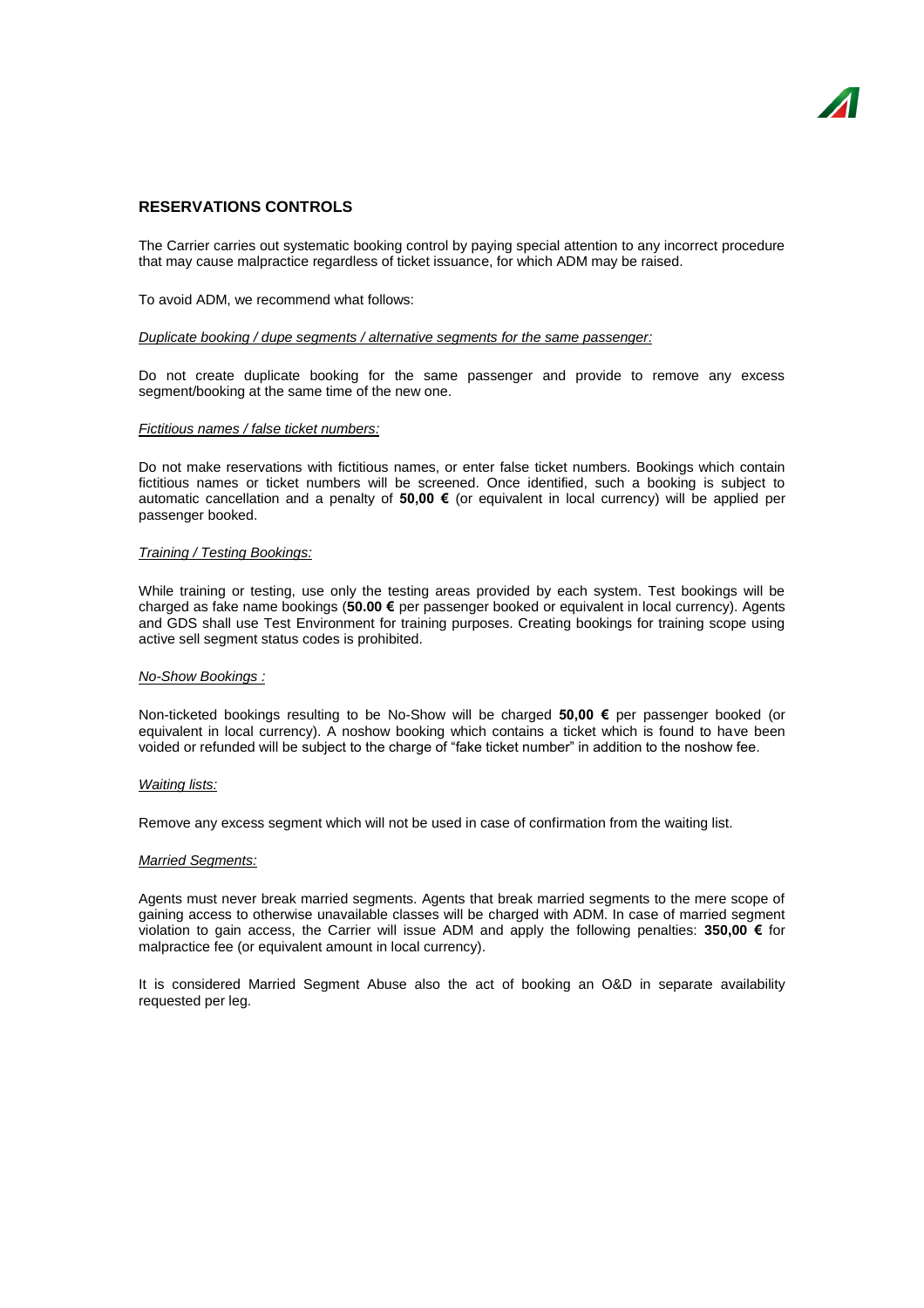# **RESERVATIONS CONTROLS**

The Carrier carries out systematic booking control by paying special attention to any incorrect procedure that may cause malpractice regardless of ticket issuance, for which ADM may be raised.

To avoid ADM, we recommend what follows:

#### *Duplicate booking / dupe segments / alternative segments for the same passenger:*

Do not create duplicate booking for the same passenger and provide to remove any excess segment/booking at the same time of the new one.

#### *Fictitious names / false ticket numbers:*

Do not make reservations with fictitious names, or enter false ticket numbers. Bookings which contain fictitious names or ticket numbers will be screened. Once identified, such a booking is subject to automatic cancellation and a penalty of **50,00 €** (or equivalent in local currency) will be applied per passenger booked.

#### *Training / Testing Bookings:*

While training or testing, use only the testing areas provided by each system. Test bookings will be charged as fake name bookings (**50.00 €** per passenger booked or equivalent in local currency). Agents and GDS shall use Test Environment for training purposes. Creating bookings for training scope using active sell segment status codes is prohibited.

#### *No-Show Bookings :*

Non-ticketed bookings resulting to be No-Show will be charged **50,00 €** per passenger booked (or equivalent in local currency). A noshow booking which contains a ticket which is found to have been voided or refunded will be subject to the charge of "fake ticket number" in addition to the noshow fee.

#### *Waiting lists:*

Remove any excess segment which will not be used in case of confirmation from the waiting list.

#### *Married Segments:*

Agents must never break married segments. Agents that break married segments to the mere scope of gaining access to otherwise unavailable classes will be charged with ADM. In case of married segment violation to gain access, the Carrier will issue ADM and apply the following penalties: **350,00 €** for malpractice fee (or equivalent amount in local currency).

It is considered Married Segment Abuse also the act of booking an O&D in separate availability requested per leg.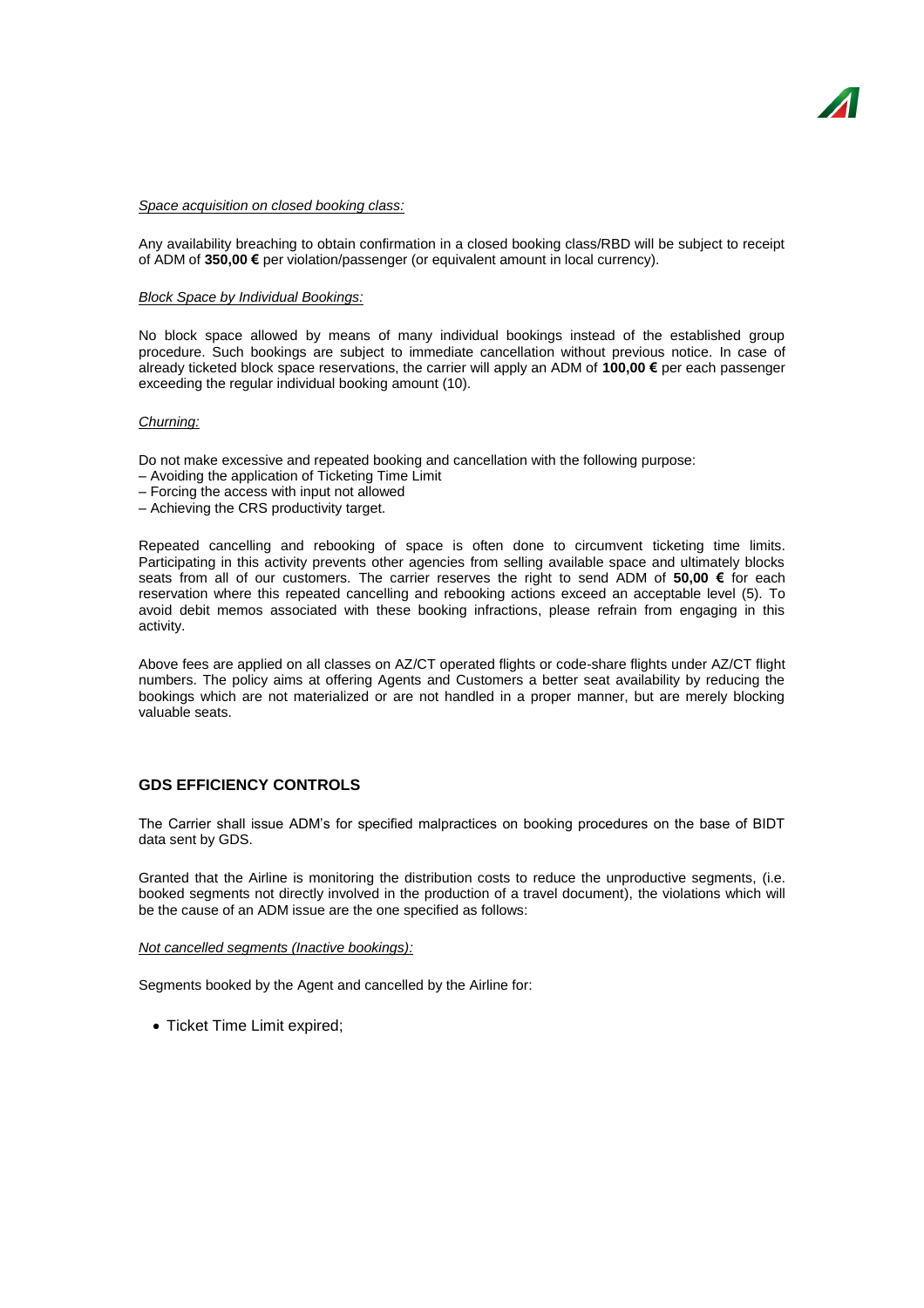#### *Space acquisition on closed booking class:*

Any availability breaching to obtain confirmation in a closed booking class/RBD will be subject to receipt of ADM of **350,00 €** per violation/passenger (or equivalent amount in local currency).

## *Block Space by Individual Bookings:*

No block space allowed by means of many individual bookings instead of the established group procedure. Such bookings are subject to immediate cancellation without previous notice. In case of already ticketed block space reservations, the carrier will apply an ADM of **100,00 €** per each passenger exceeding the regular individual booking amount (10).

#### *Churning:*

Do not make excessive and repeated booking and cancellation with the following purpose:

- Avoiding the application of Ticketing Time Limit
- Forcing the access with input not allowed
- Achieving the CRS productivity target.

Repeated cancelling and rebooking of space is often done to circumvent ticketing time limits. Participating in this activity prevents other agencies from selling available space and ultimately blocks seats from all of our customers. The carrier reserves the right to send ADM of **50,00 €** for each reservation where this repeated cancelling and rebooking actions exceed an acceptable level (5). To avoid debit memos associated with these booking infractions, please refrain from engaging in this activity.

Above fees are applied on all classes on AZ/CT operated flights or code-share flights under AZ/CT flight numbers. The policy aims at offering Agents and Customers a better seat availability by reducing the bookings which are not materialized or are not handled in a proper manner, but are merely blocking valuable seats.

# **GDS EFFICIENCY CONTROLS**

The Carrier shall issue ADM's for specified malpractices on booking procedures on the base of BIDT data sent by GDS.

Granted that the Airline is monitoring the distribution costs to reduce the unproductive segments, (i.e. booked segments not directly involved in the production of a travel document), the violations which will be the cause of an ADM issue are the one specified as follows:

#### *Not cancelled segments (Inactive bookings):*

Segments booked by the Agent and cancelled by the Airline for:

• Ticket Time Limit expired;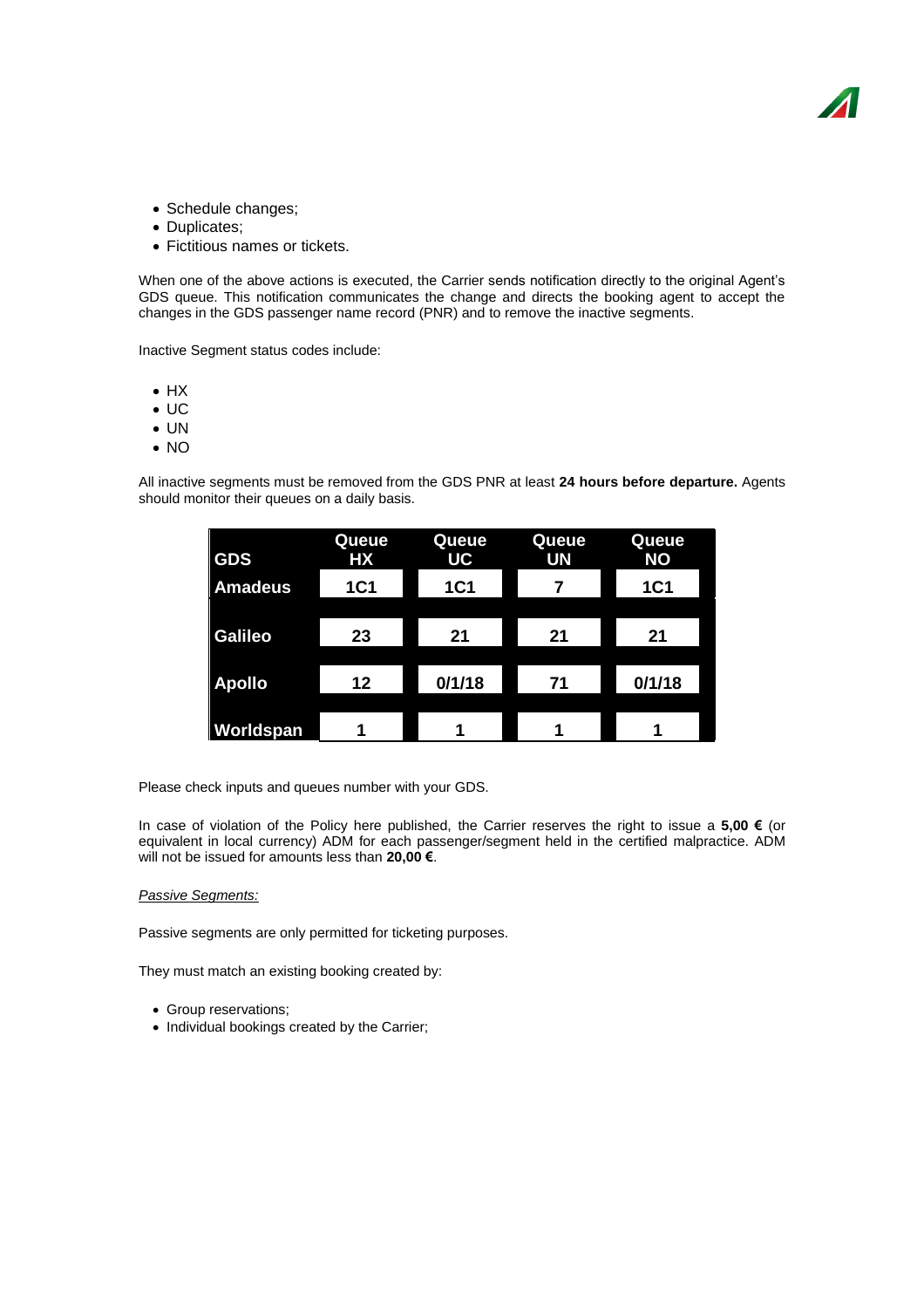- Schedule changes;
- Duplicates;
- Fictitious names or tickets.

When one of the above actions is executed, the Carrier sends notification directly to the original Agent's GDS queue. This notification communicates the change and directs the booking agent to accept the changes in the GDS passenger name record (PNR) and to remove the inactive segments.

Inactive Segment status codes include:

- $\bullet$  HX
- $\bullet$  UC
- UN
- NO

All inactive segments must be removed from the GDS PNR at least **24 hours before departure.** Agents should monitor their queues on a daily basis.

| <b>GDS</b>     | Queue<br>HX | Queue<br><b>UC</b> | Queue<br>UN | Queue<br><b>NO</b> |
|----------------|-------------|--------------------|-------------|--------------------|
| <b>Amadeus</b> | <b>1C1</b>  | <b>1C1</b>         |             | <b>1C1</b>         |
|                |             |                    |             |                    |
| <b>Galileo</b> | 23          | 21                 | 21          | 21                 |
|                |             |                    |             |                    |
| <b>Apollo</b>  | 12          | 0/1/18             | 71          | 0/1/18             |
|                |             |                    |             |                    |
| Worldspan      | ۹           |                    |             |                    |

Please check inputs and queues number with your GDS.

In case of violation of the Policy here published, the Carrier reserves the right to issue a **5,00 €** (or equivalent in local currency) ADM for each passenger/segment held in the certified malpractice. ADM will not be issued for amounts less than **20,00 €**.

## *Passive Segments:*

Passive segments are only permitted for ticketing purposes.

They must match an existing booking created by:

- Group reservations;
- Individual bookings created by the Carrier;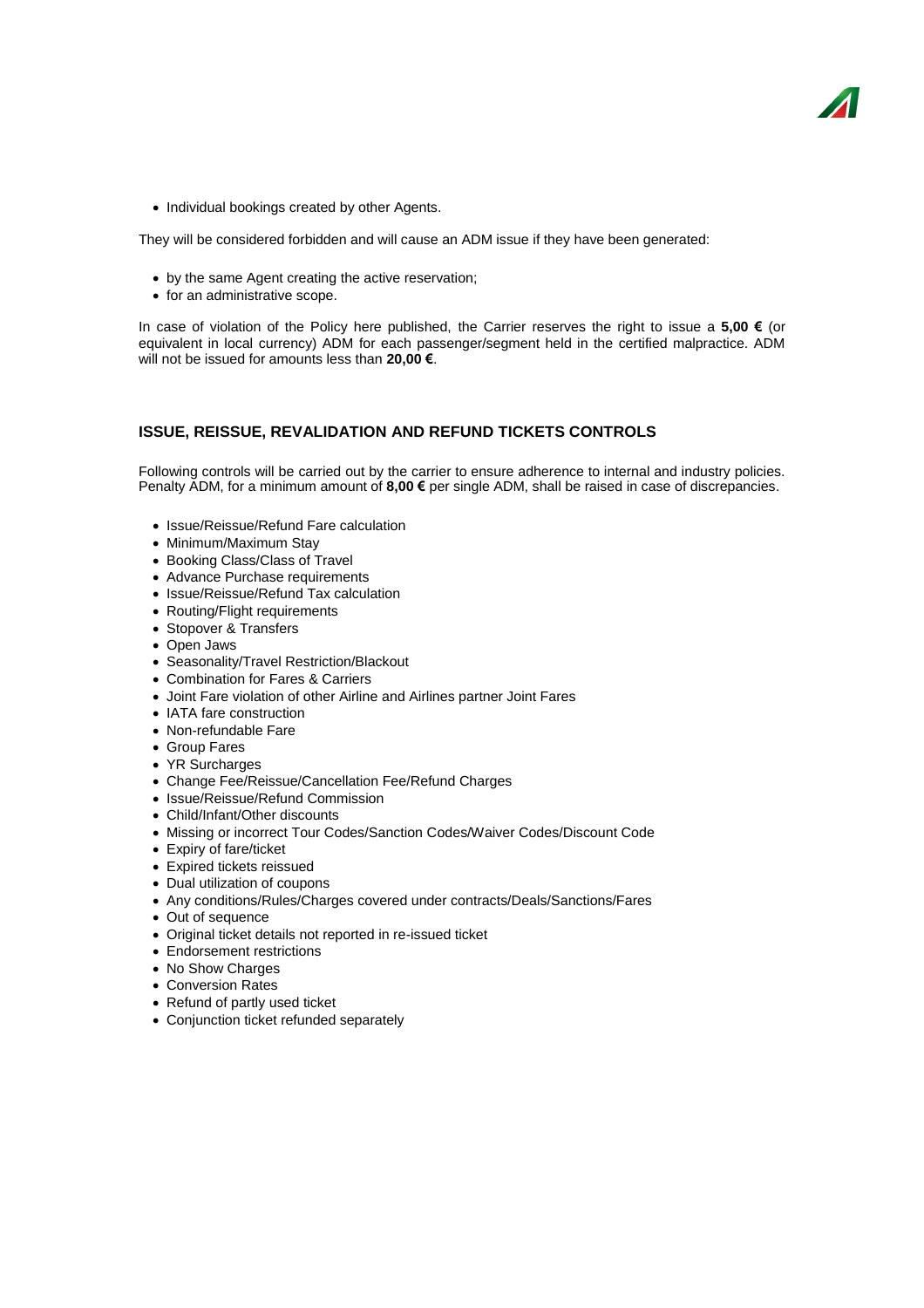• Individual bookings created by other Agents.

They will be considered forbidden and will cause an ADM issue if they have been generated:

- by the same Agent creating the active reservation;
- for an administrative scope.

In case of violation of the Policy here published, the Carrier reserves the right to issue a **5,00 €** (or equivalent in local currency) ADM for each passenger/segment held in the certified malpractice. ADM will not be issued for amounts less than **20,00 €**.

# **ISSUE, REISSUE, REVALIDATION AND REFUND TICKETS CONTROLS**

Following controls will be carried out by the carrier to ensure adherence to internal and industry policies. Penalty ADM, for a minimum amount of **8,00 €** per single ADM, shall be raised in case of discrepancies.

- Issue/Reissue/Refund Fare calculation
- Minimum/Maximum Stay
- Booking Class/Class of Travel
- Advance Purchase requirements
- Issue/Reissue/Refund Tax calculation
- Routing/Flight requirements
- Stopover & Transfers
- Open Jaws
- Seasonality/Travel Restriction/Blackout
- Combination for Fares & Carriers
- Joint Fare violation of other Airline and Airlines partner Joint Fares
- IATA fare construction
- Non-refundable Fare
- Group Fares
- YR Surcharges
- Change Fee/Reissue/Cancellation Fee/Refund Charges
- Issue/Reissue/Refund Commission
- Child/Infant/Other discounts
- Missing or incorrect Tour Codes/Sanction Codes/Waiver Codes/Discount Code
- Expiry of fare/ticket
- Expired tickets reissued
- Dual utilization of coupons
- Any conditions/Rules/Charges covered under contracts/Deals/Sanctions/Fares
- Out of sequence
- Original ticket details not reported in re-issued ticket
- Endorsement restrictions
- No Show Charges
- Conversion Rates
- Refund of partly used ticket
- Conjunction ticket refunded separately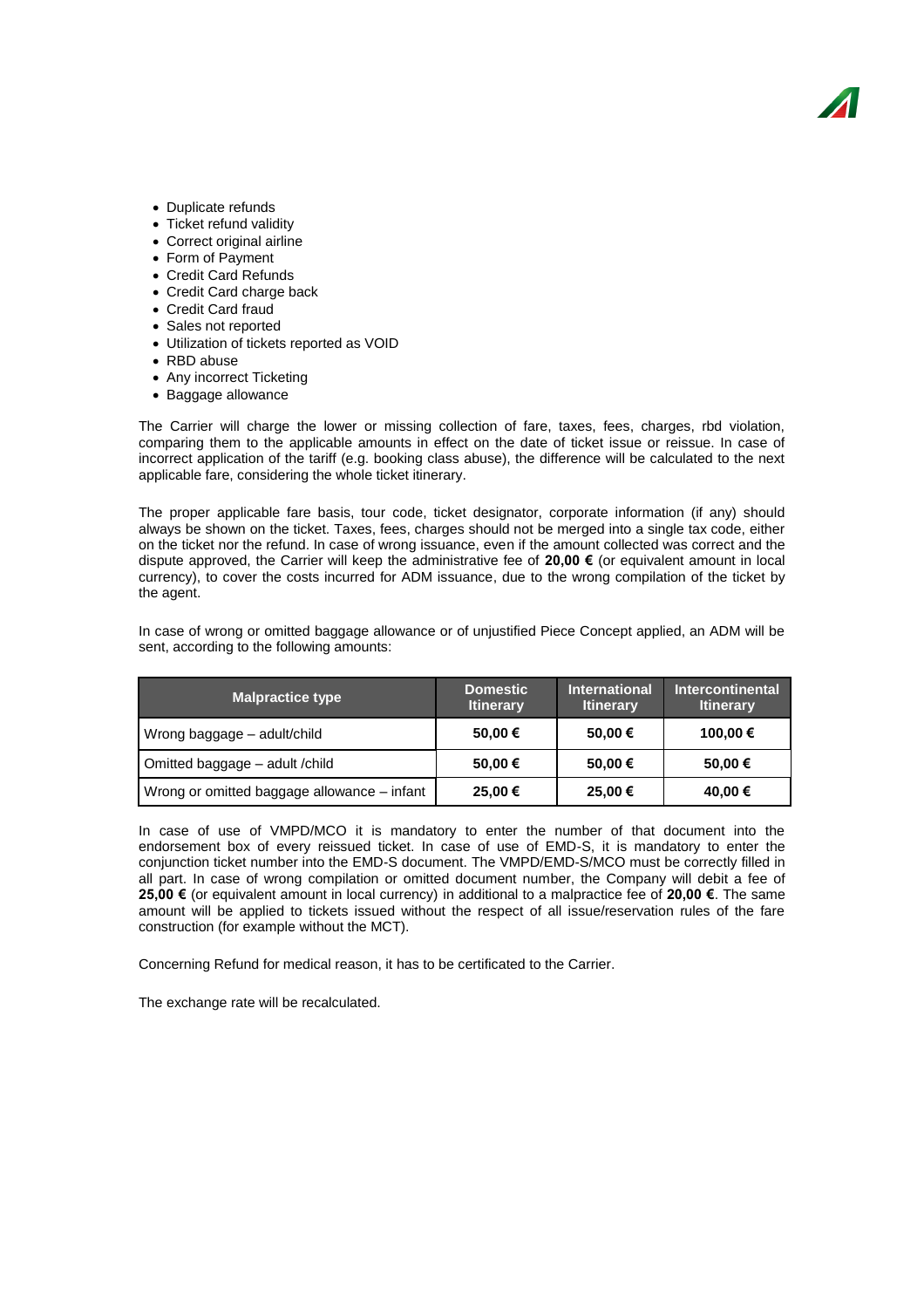- Duplicate refunds
- Ticket refund validity
- Correct original airline
- Form of Payment
- Credit Card Refunds
- Credit Card charge back
- Credit Card fraud
- Sales not reported
- Utilization of tickets reported as VOID
- RBD abuse
- Any incorrect Ticketing
- Baggage allowance

The Carrier will charge the lower or missing collection of fare, taxes, fees, charges, rbd violation, comparing them to the applicable amounts in effect on the date of ticket issue or reissue. In case of incorrect application of the tariff (e.g. booking class abuse), the difference will be calculated to the next applicable fare, considering the whole ticket itinerary.

The proper applicable fare basis, tour code, ticket designator, corporate information (if any) should always be shown on the ticket. Taxes, fees, charges should not be merged into a single tax code, either on the ticket nor the refund. In case of wrong issuance, even if the amount collected was correct and the dispute approved, the Carrier will keep the administrative fee of **20,00 €** (or equivalent amount in local currency), to cover the costs incurred for ADM issuance, due to the wrong compilation of the ticket by the agent.

In case of wrong or omitted baggage allowance or of unjustified Piece Concept applied, an ADM will be sent, according to the following amounts:

| <b>Malpractice type</b>                     | <b>Domestic</b><br><b>Itinerary</b> | <b>International</b><br><b>Itinerary</b> | Intercontinental<br><b>Itinerary</b> |
|---------------------------------------------|-------------------------------------|------------------------------------------|--------------------------------------|
| Wrong baggage – adult/child                 | 50,00 €                             | 50,00 €                                  | 100,00 €                             |
| Omitted baggage - adult / child             | 50,00 €                             | 50,00 €                                  | 50,00 €                              |
| Wrong or omitted baggage allowance – infant | 25,00 €                             | 25,00 €                                  | 40,00 €                              |

In case of use of VMPD/MCO it is mandatory to enter the number of that document into the endorsement box of every reissued ticket. In case of use of EMD-S, it is mandatory to enter the conjunction ticket number into the EMD-S document. The VMPD/EMD-S/MCO must be correctly filled in all part. In case of wrong compilation or omitted document number, the Company will debit a fee of **25,00 €** (or equivalent amount in local currency) in additional to a malpractice fee of **20,00 €**. The same amount will be applied to tickets issued without the respect of all issue/reservation rules of the fare construction (for example without the MCT).

Concerning Refund for medical reason, it has to be certificated to the Carrier.

The exchange rate will be recalculated.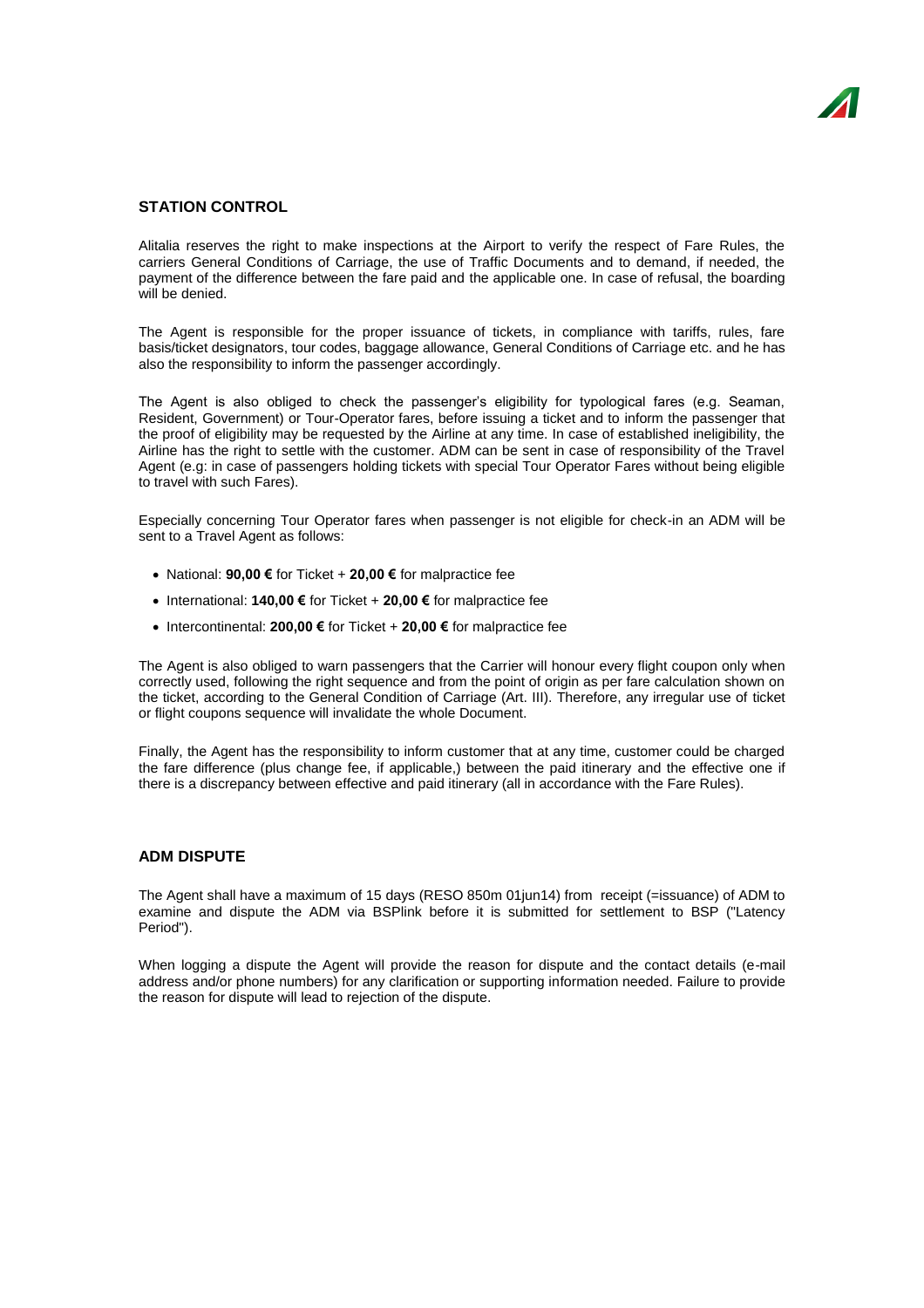## **STATION CONTROL**

Alitalia reserves the right to make inspections at the Airport to verify the respect of Fare Rules, the carriers General Conditions of Carriage, the use of Traffic Documents and to demand, if needed, the payment of the difference between the fare paid and the applicable one. In case of refusal, the boarding will be denied.

The Agent is responsible for the proper issuance of tickets, in compliance with tariffs, rules, fare basis/ticket designators, tour codes, baggage allowance, General Conditions of Carriage etc. and he has also the responsibility to inform the passenger accordingly.

The Agent is also obliged to check the passenger's eligibility for typological fares (e.g. Seaman, Resident, Government) or Tour-Operator fares, before issuing a ticket and to inform the passenger that the proof of eligibility may be requested by the Airline at any time. In case of established ineligibility, the Airline has the right to settle with the customer. ADM can be sent in case of responsibility of the Travel Agent (e.g: in case of passengers holding tickets with special Tour Operator Fares without being eligible to travel with such Fares).

Especially concerning Tour Operator fares when passenger is not eligible for check-in an ADM will be sent to a Travel Agent as follows:

- National: **90,00 €** for Ticket + **20,00 €** for malpractice fee
- International: **140,00 €** for Ticket + **20,00 €** for malpractice fee
- Intercontinental: **200,00 €** for Ticket + **20,00 €** for malpractice fee

The Agent is also obliged to warn passengers that the Carrier will honour every flight coupon only when correctly used, following the right sequence and from the point of origin as per fare calculation shown on the ticket, according to the General Condition of Carriage (Art. III). Therefore, any irregular use of ticket or flight coupons sequence will invalidate the whole Document.

Finally, the Agent has the responsibility to inform customer that at any time, customer could be charged the fare difference (plus change fee, if applicable,) between the paid itinerary and the effective one if there is a discrepancy between effective and paid itinerary (all in accordance with the Fare Rules).

## **ADM DISPUTE**

The Agent shall have a maximum of 15 days (RESO 850m 01jun14) from receipt (=issuance) of ADM to examine and dispute the ADM via BSPlink before it is submitted for settlement to BSP ("Latency Period").

When logging a dispute the Agent will provide the reason for dispute and the contact details (e-mail address and/or phone numbers) for any clarification or supporting information needed. Failure to provide the reason for dispute will lead to rejection of the dispute.